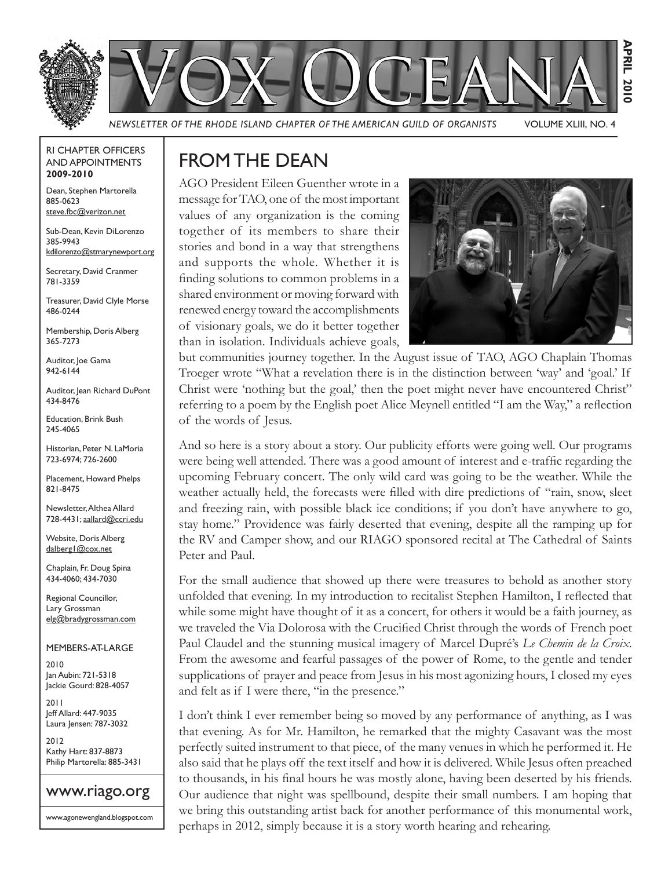

RI CHAPTER OFFICERS AND APPOINTMENTS **2009-2010**

Dean, Stephen Martorella 885-0623 steve.fbc@verizon.net

Sub-Dean, Kevin DiLorenzo 385-9943 kdilorenzo@stmarynewport.org

Secretary, David Cranmer 781-3359

Treasurer, David Clyle Morse 486-0244

Membership, Doris Alberg 365-7273

Auditor, Joe Gama 942-6144

Auditor, Jean Richard DuPont 434-8476

Education, Brink Bush 245-4065

Historian, Peter N. LaMoria 723-6974; 726-2600

Placement, Howard Phelps 821-8475

Newsletter, Althea Allard 728-4431; aallard@ccri.edu

Website, Doris Alberg dalberg1@cox.net

Chaplain, Fr. Doug Spina 434-4060; 434-7030

Regional Councillor, Lary Grossman elg@bradygrossman.com

MEMBERS-AT-LARGE

2010 Jan Aubin: 721-5318 Jackie Gourd: 828-4057

2011 Jeff Allard: 447-9035 Laura Jensen: 787-3032

2012 Kathy Hart: 837-8873 Philip Martorella: 885-3431



www.agonewengland.blogspot.com

### FROM THE DEAN

AGO President Eileen Guenther wrote in a message for TAO, one of the most important values of any organization is the coming together of its members to share their stories and bond in a way that strengthens and supports the whole. Whether it is finding solutions to common problems in a shared environment or moving forward with renewed energy toward the accomplishments of visionary goals, we do it better together than in isolation. Individuals achieve goals,



but communities journey together. In the August issue of TAO, AGO Chaplain Thomas Troeger wrote "What a revelation there is in the distinction between 'way' and 'goal.' If Christ were 'nothing but the goal,' then the poet might never have encountered Christ" referring to a poem by the English poet Alice Meynell entitled "I am the Way," a reflection of the words of Jesus.

And so here is a story about a story. Our publicity efforts were going well. Our programs were being well attended. There was a good amount of interest and e-traffic regarding the upcoming February concert. The only wild card was going to be the weather. While the weather actually held, the forecasts were filled with dire predictions of "rain, snow, sleet and freezing rain, with possible black ice conditions; if you don't have anywhere to go, stay home." Providence was fairly deserted that evening, despite all the ramping up for the RV and Camper show, and our RIAGO sponsored recital at The Cathedral of Saints Peter and Paul.

For the small audience that showed up there were treasures to behold as another story unfolded that evening. In my introduction to recitalist Stephen Hamilton, I reflected that while some might have thought of it as a concert, for others it would be a faith journey, as we traveled the Via Dolorosa with the Crucified Christ through the words of French poet Paul Claudel and the stunning musical imagery of Marcel Dupré's *Le Chemin de la Croix*. From the awesome and fearful passages of the power of Rome, to the gentle and tender supplications of prayer and peace from Jesus in his most agonizing hours, I closed my eyes and felt as if I were there, "in the presence."

I don't think I ever remember being so moved by any performance of anything, as I was that evening. As for Mr. Hamilton, he remarked that the mighty Casavant was the most perfectly suited instrument to that piece, of the many venues in which he performed it. He also said that he plays off the text itself and how it is delivered. While Jesus often preached to thousands, in his final hours he was mostly alone, having been deserted by his friends. Our audience that night was spellbound, despite their small numbers. I am hoping that we bring this outstanding artist back for another performance of this monumental work, perhaps in 2012, simply because it is a story worth hearing and rehearing.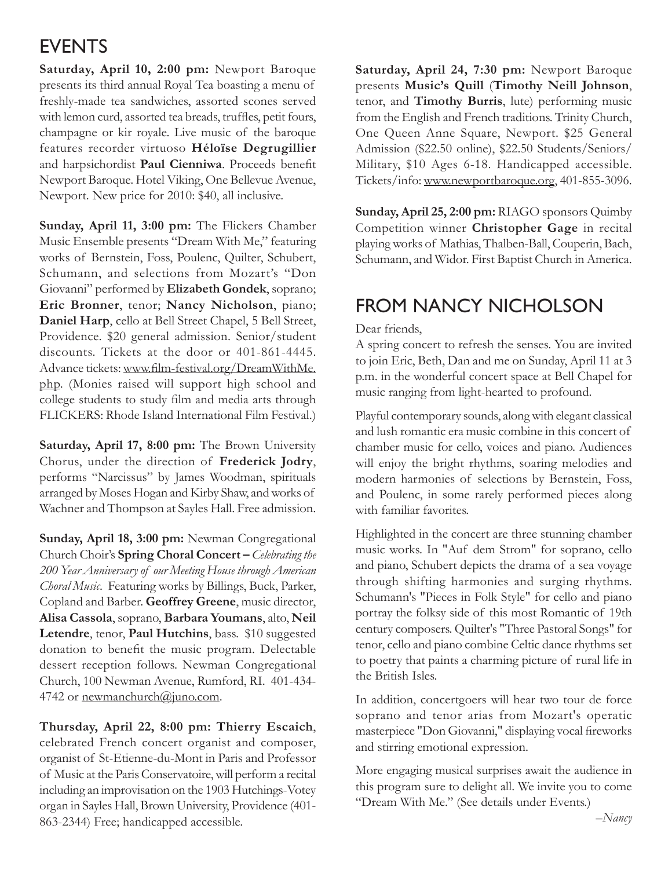### EVENTS

**Saturday, April 10, 2:00 pm:** Newport Baroque presents its third annual Royal Tea boasting a menu of freshly-made tea sandwiches, assorted scones served with lemon curd, assorted tea breads, truffles, petit fours, champagne or kir royale. Live music of the baroque features recorder virtuoso **Héloïse Degrugillier** and harpsichordist **Paul Cienniwa**. Proceeds benefit Newport Baroque. Hotel Viking, One Bellevue Avenue, Newport. New price for 2010: \$40, all inclusive.

**Sunday, April 11, 3:00 pm:** The Flickers Chamber Music Ensemble presents "Dream With Me," featuring works of Bernstein, Foss, Poulenc, Quilter, Schubert, Schumann, and selections from Mozart's "Don Giovanni" performed by **Elizabeth Gondek**, soprano; **Eric Bronner**, tenor; **Nancy Nicholson**, piano; **Daniel Harp**, cello at Bell Street Chapel, 5 Bell Street, Providence. \$20 general admission. Senior/student discounts. Tickets at the door or 401-861-4445. Advance tickets: www.film-festival.org/DreamWithMe. php. (Monies raised will support high school and college students to study film and media arts through FLICKERS: Rhode Island International Film Festival.)

**Saturday, April 17, 8:00 pm:** The Brown University Chorus, under the direction of **Frederick Jodry**, performs "Narcissus" by James Woodman, spirituals arranged by Moses Hogan and Kirby Shaw, and works of Wachner and Thompson at Sayles Hall. Free admission.

**Sunday, April 18, 3:00 pm:** Newman Congregational Church Choir's **Spring Choral Concert –** *Celebrating the 200 Year Anniversary of our Meeting House through American Choral Music*. Featuring works by Billings, Buck, Parker, Copland and Barber. **Geoffrey Greene**, music director, **Alisa Cassola**, soprano, **Barbara Youmans**, alto, **Neil Letendre**, tenor, **Paul Hutchins**, bass. \$10 suggested donation to benefit the music program. Delectable dessert reception follows. Newman Congregational Church, 100 Newman Avenue, Rumford, RI. 401-434- 4742 or newmanchurch@juno.com.

**Thursday, April 22, 8:00 pm: Thierry Escaich**, celebrated French concert organist and composer, organist of St-Etienne-du-Mont in Paris and Professor of Music at the Paris Conservatoire, will perform a recital including an improvisation on the 1903 Hutchings-Votey organ in Sayles Hall, Brown University, Providence (401- 863-2344) Free; handicapped accessible.

**Saturday, April 24, 7:30 pm:** Newport Baroque presents **Music's Quill** (**Timothy Neill Johnson**, tenor, and **Timothy Burris**, lute) performing music from the English and French traditions. Trinity Church, One Queen Anne Square, Newport. \$25 General Admission (\$22.50 online), \$22.50 Students/Seniors/ Military, \$10 Ages 6-18. Handicapped accessible. Tickets/info: www.newportbaroque.org, 401-855-3096.

**Sunday, April 25, 2:00 pm:** RIAGO sponsors Quimby Competition winner **Christopher Gage** in recital playing works of Mathias, Thalben-Ball, Couperin, Bach, Schumann, and Widor. First Baptist Church in America.

### FROM NANCY NICHOLSON

#### Dear friends,

A spring concert to refresh the senses. You are invited to join Eric, Beth, Dan and me on Sunday, April 11 at 3 p.m. in the wonderful concert space at Bell Chapel for music ranging from light-hearted to profound.

Playful contemporary sounds, along with elegant classical and lush romantic era music combine in this concert of chamber music for cello, voices and piano. Audiences will enjoy the bright rhythms, soaring melodies and modern harmonies of selections by Bernstein, Foss, and Poulenc, in some rarely performed pieces along with familiar favorites.

Highlighted in the concert are three stunning chamber music works. In "Auf dem Strom" for soprano, cello and piano, Schubert depicts the drama of a sea voyage through shifting harmonies and surging rhythms. Schumann's "Pieces in Folk Style" for cello and piano portray the folksy side of this most Romantic of 19th century composers. Quilter's "Three Pastoral Songs" for tenor, cello and piano combine Celtic dance rhythms set to poetry that paints a charming picture of rural life in the British Isles.

In addition, concertgoers will hear two tour de force soprano and tenor arias from Mozart's operatic masterpiece "Don Giovanni," displaying vocal fireworks and stirring emotional expression.

More engaging musical surprises await the audience in this program sure to delight all. We invite you to come "Dream With Me." (See details under Events.)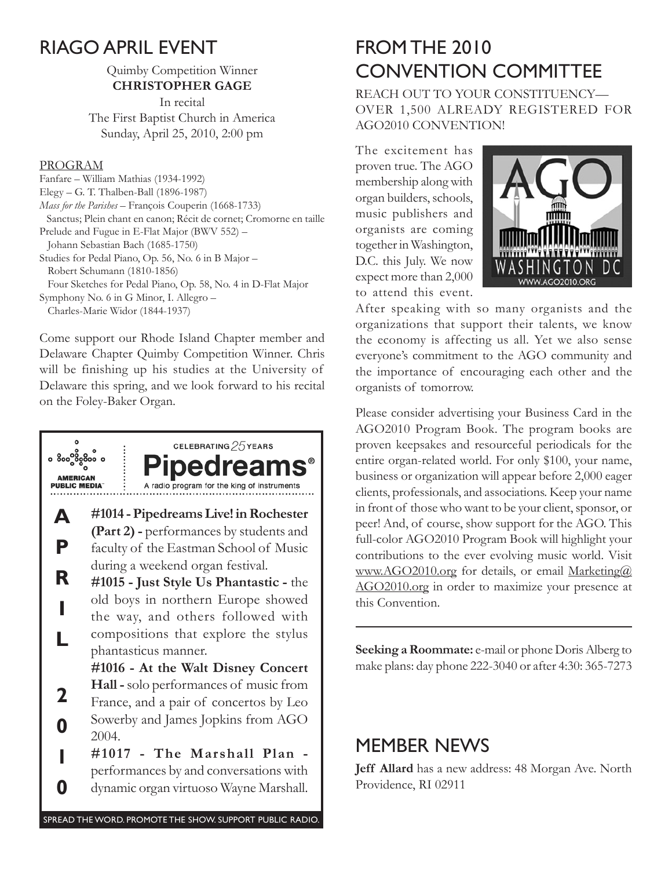### RIAGO APRIL EVENT

Quimby Competition Winner **CHRISTOPHER GAGE**

In recital The First Baptist Church in America Sunday, April 25, 2010, 2:00 pm

#### PROGRAM

Fanfare – William Mathias (1934-1992) Elegy – G. T. Thalben-Ball (1896-1987) *Mass for the Parishes* – François Couperin (1668-1733) Sanctus; Plein chant en canon; Récit de cornet; Cromorne en taille Prelude and Fugue in E-Flat Major (BWV 552) – Johann Sebastian Bach (1685-1750) Studies for Pedal Piano, Op. 56, No. 6 in B Major – Robert Schumann (1810-1856) Four Sketches for Pedal Piano, Op. 58, No. 4 in D-Flat Major Symphony No. 6 in G Minor, I. Allegro – Charles-Marie Widor (1844-1937)

Come support our Rhode Island Chapter member and Delaware Chapter Quimby Competition Winner. Chris will be finishing up his studies at the University of Delaware this spring, and we look forward to his recital on the Foley-Baker Organ.



## FROM THE 2010 CONVENTION COMMITTEE

REACH OUT TO YOUR CONSTITUENCY— OVER 1,500 ALREADY REGISTERED FOR AGO2010 CONVENTION!

The excitement has proven true. The AGO membership along with organ builders, schools, music publishers and organists are coming together in Washington, D.C. this July. We now expect more than 2,000 to attend this event.



After speaking with so many organists and the organizations that support their talents, we know the economy is affecting us all. Yet we also sense everyone's commitment to the AGO community and the importance of encouraging each other and the organists of tomorrow.

Please consider advertising your Business Card in the AGO2010 Program Book. The program books are proven keepsakes and resourceful periodicals for the entire organ-related world. For only \$100, your name, business or organization will appear before 2,000 eager clients, professionals, and associations. Keep your name in front of those who want to be your client, sponsor, or peer! And, of course, show support for the AGO. This full-color AGO2010 Program Book will highlight your contributions to the ever evolving music world. Visit www.AGO2010.org for details, or email Marketing@ AGO2010.org in order to maximize your presence at this Convention.

**Seeking a Roommate:** e-mail or phone Doris Alberg to make plans: day phone 222-3040 or after 4:30: 365-7273

### MEMBER NEWS

**Jeff Allard** has a new address: 48 Morgan Ave. North Providence, RI 02911